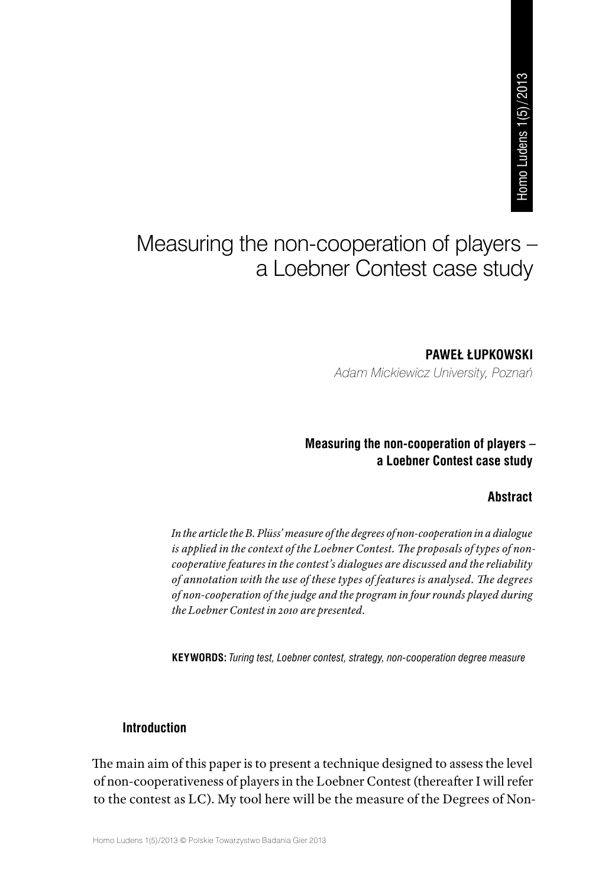# Measuring the non-cooperation of players – a Loebner Contest case study **PAWEŁ ŁUPKOWSKI<br>PAWEŁ ŁUPKOWSKI<br>PAWEŁ ŁUPKOWSKI**

*Adam Mickiewicz University, Poznań*

## **Measuring the non-cooperation of players – a Loebner Contest case study**

#### **Abstract**

*In the article the B. Plüss' measure of the degrees of non-cooperation in a dialogue is applied in the context of the Loebner Contest. The proposals of types of noncooperative features in the contest's dialogues are discussed and the reliability of annotation with the use of these types of features is analysed. The degrees of non-cooperation of the judge and the program in four rounds played during the Loebner Contest in 2010 are presented.*

**KEYWORDS:** *Turing test, Loebner contest, strategy, non-cooperation degree measure*

#### **Introduction**

The main aim of this paper is to present a technique designed to assess the level of non-cooperativeness of players in the Loebner Contest (thereafter I will refer to the contest as LC). My tool here will be the measure of the Degrees of Non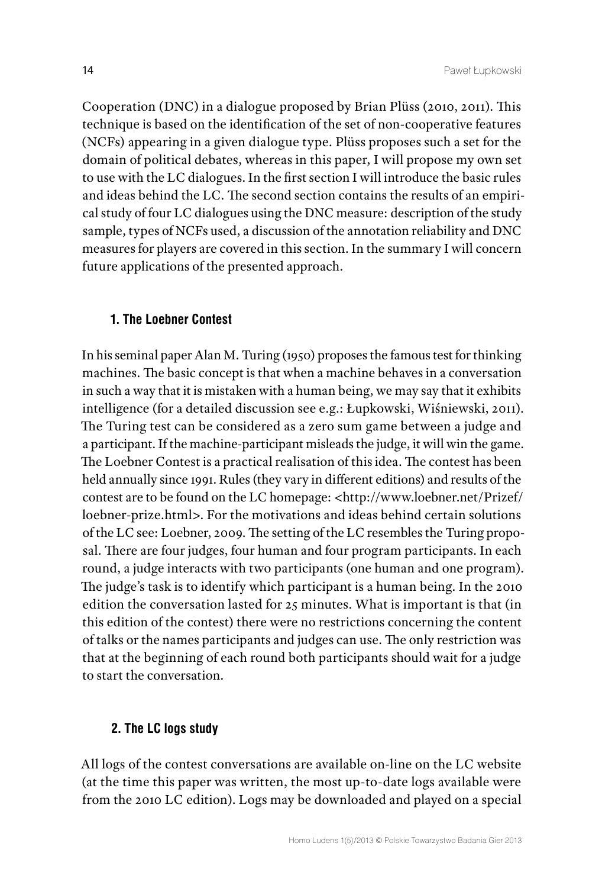Cooperation (DNC) in a dialogue proposed by Brian Plüss (2010, 2011). This technique is based on the identification of the set of non-cooperative features (NCFs) appearing in a given dialogue type. Plüss proposes such a set for the domain of political debates, whereas in this paper, I will propose my own set to use with the LC dialogues. In the first section I will introduce the basic rules and ideas behind the LC. The second section contains the results of an empirical study of four LC dialogues using the DNC measure: description of the study sample, types of NCFs used, a discussion of the annotation reliability and DNC measures for players are covered in this section. In the summary I will concern future applications of the presented approach.

#### **1. The Loebner Contest**

In his seminal paper Alan M. Turing (1950) proposes the famous test for thinking machines. The basic concept is that when a machine behaves in a conversation in such a way that it is mistaken with a human being, we may say that it exhibits intelligence (for a detailed discussion see e.g.: Łupkowski, Wiśniewski, 2011). The Turing test can be considered as a zero sum game between a judge and a participant. If the machine-participant misleads the judge, it will win the game. The Loebner Contest is a practical realisation of this idea. The contest has been held annually since 1991. Rules (they vary in different editions) and results of the contest are to be found on the LC homepage: <[http://www.loebner.net/Prizef/](http://www.loebner.net/Prizef/loebner-prize.html) [loebner-prize.html](http://www.loebner.net/Prizef/loebner-prize.html)>. For the motivations and ideas behind certain solutions of the LC see: Loebner, 2009. The setting of the LC resembles the Turing proposal. There are four judges, four human and four program participants. In each round, a judge interacts with two participants (one human and one program). The judge's task is to identify which participant is a human being. In the 2010 edition the conversation lasted for 25 minutes. What is important is that (in this edition of the contest) there were no restrictions concerning the content of talks or the names participants and judges can use. The only restriction was that at the beginning of each round both participants should wait for a judge to start the conversation.

#### **2. The LC logs study**

All logs of the contest conversations are available on-line on the LC website (at the time this paper was written, the most up-to-date logs available were from the 2010 LC edition). Logs may be downloaded and played on a special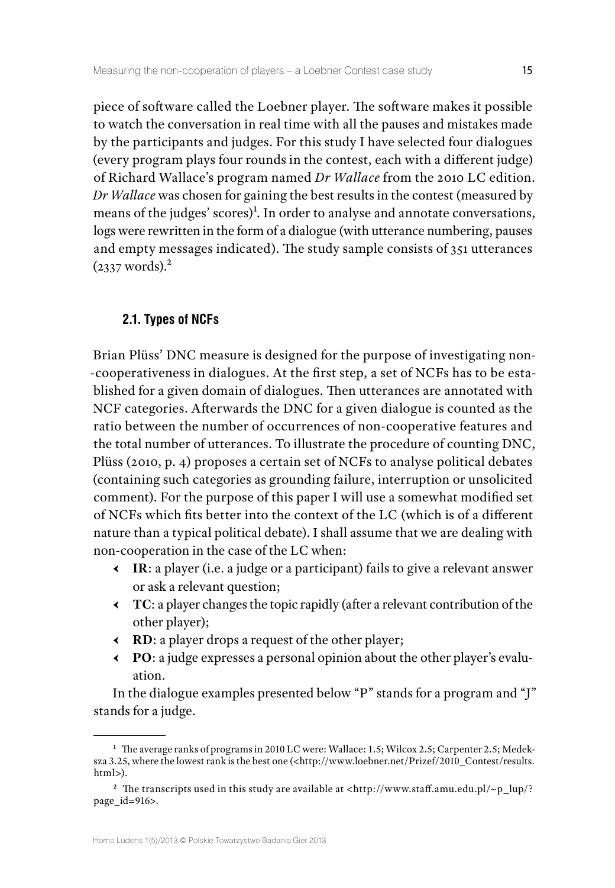piece of software called the Loebner player. The software makes it possible to watch the conversation in real time with all the pauses and mistakes made by the participants and judges. For this study I have selected four dialogues (every program plays four rounds in the contest, each with a different judge) of Richard Wallace's program named *Dr Wallace* from the 2010 LC edition. *Dr Wallace* was chosen for gaining the best results in the contest (measured by means of the judges' scores)<sup>1</sup>. In order to analyse and annotate conversations, logs were rewritten in the form of a dialogue (with utterance numbering, pauses and empty messages indicated). The study sample consists of 351 utterances  $(2337 \text{ words})$ .<sup>2</sup>

#### **2.1. Types of NCFs**

Brian Plüss' DNC measure is designed for the purpose of investigating non- -cooperativeness in dialogues. At the first step, a set of NCFs has to be established for a given domain of dialogues. Then utterances are annotated with NCF categories. Afterwards the DNC for a given dialogue is counted as the ratio between the number of occurrences of non-cooperative features and the total number of utterances. To illustrate the procedure of counting DNC, Plüss (2010, p. 4) proposes a certain set of NCFs to analyse political debates (containing such categories as grounding failure, interruption or unsolicited comment). For the purpose of this paper I will use a somewhat modified set of NCFs which fits better into the context of the LC (which is of a different nature than a typical political debate). I shall assume that we are dealing with non-cooperation in the case of the LC when:

- Ԁ **IR**: a player (i.e. a judge or a participant) fails to give a relevant answer or ask a relevant question;
- Ԁ **TC**: a player changes the topic rapidly (after a relevant contribution of the other player);
- Ԁ **RD**: a player drops a request of the other player;
- Ԁ **PO**: a judge expresses a personal opinion about the other player's evaluation.

In the dialogue examples presented below "P" stands for a program and "J" stands for a judge.

**<sup>1</sup>** The average ranks of programs in 2010 LC were: Wallace: 1.5; Wilcox 2.5; Carpenter 2.5; Medeksza 3.25, where the lowest rank is the best one (<http://www.loebner.net/Prizef/2010\_Contest/results. html>).

<sup>&</sup>lt;sup>2</sup> The transcripts used in this study are available at <http://www.staff.amu.edu.pl/~p\_lup/? page\_id=916>.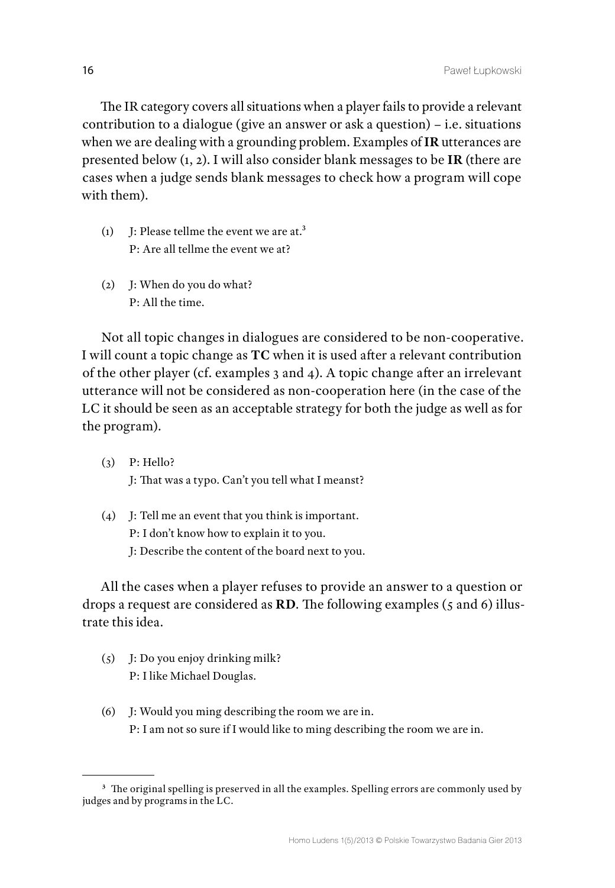The IR category covers all situations when a player fails to provide a relevant contribution to a dialogue (give an answer or ask a question) – i.e. situations when we are dealing with a grounding problem. Examples of **IR** utterances are presented below (1, 2). I will also consider blank messages to be **IR** (there are cases when a judge sends blank messages to check how a program will cope with them).

- (1) J: Please tellme the event we are at.3 P: Are all tellme the event we at?
- (2) J: When do you do what? P: All the time.

Not all topic changes in dialogues are considered to be non-cooperative. I will count a topic change as **TC** when it is used after a relevant contribution of the other player (cf. examples 3 and 4). A topic change after an irrelevant utterance will not be considered as non-cooperation here (in the case of the LC it should be seen as an acceptable strategy for both the judge as well as for the program).

- (3) P: Hello? J: That was a typo. Can't you tell what I meanst?
- (4) J: Tell me an event that you think is important. P: I don't know how to explain it to you. J: Describe the content of the board next to you.

All the cases when a player refuses to provide an answer to a question or drops a request are considered as **RD**. The following examples (5 and 6) illustrate this idea.

- (5) J: Do you enjoy drinking milk? P: I like Michael Douglas.
- (6) J: Would you ming describing the room we are in. P: I am not so sure if I would like to ming describing the room we are in.

**<sup>3</sup>** The original spelling is preserved in all the examples. Spelling errors are commonly used by judges and by programs in the LC.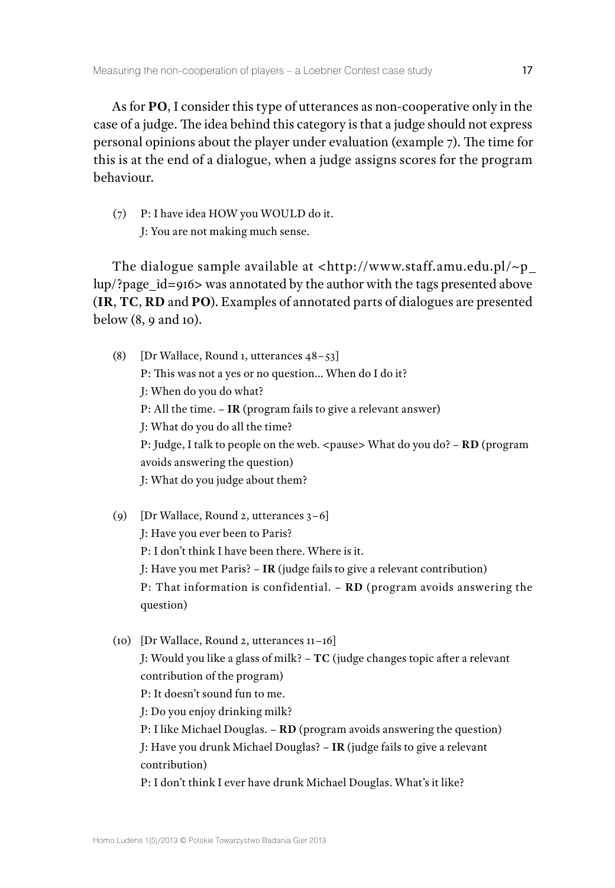As for **PO**, I consider this type of utterances as non-cooperative only in the case of a judge. The idea behind this category is that a judge should not express personal opinions about the player under evaluation (example 7). The time for this is at the end of a dialogue, when a judge assigns scores for the program behaviour.

(7) P: I have idea HOW you WOULD do it. J: You are not making much sense.

The dialogue sample available at  $\langle \text{http://www.staff.amu.edu.pl/~p} \rangle$ [lup/?page\\_id=916>](http://www.staff.amu.edu.pl/~p_lup/?page_id=916) was annotated by the author with the tags presented above (**IR**, **TC**, **RD** and **PO**). Examples of annotated parts of dialogues are presented below (8, 9 and 10).

- (8) [Dr Wallace, Round 1, utterances 48–53] P: This was not a yes or no question… When do I do it? J: When do you do what? P: All the time. – **IR** (program fails to give a relevant answer) J: What do you do all the time? P: Judge, I talk to people on the web. <pause> What do you do? - **RD** (program avoids answering the question) J: What do you judge about them?
- (9) [Dr Wallace, Round 2, utterances 3–6] J: Have you ever been to Paris? P: I don't think I have been there. Where is it. J: Have you met Paris? – **IR** (judge fails to give a relevant contribution) P: That information is confidential. – **RD** (program avoids answering the question)
- (10) [Dr Wallace, Round 2, utterances 11–16] J: Would you like a glass of milk? – **TC** (judge changes topic after a relevant contribution of the program) P: It doesn't sound fun to me. J: Do you enjoy drinking milk? P: I like Michael Douglas. – **RD** (program avoids answering the question) J: Have you drunk Michael Douglas? – **IR** (judge fails to give a relevant contribution) P: I don't think I ever have drunk Michael Douglas. What's it like?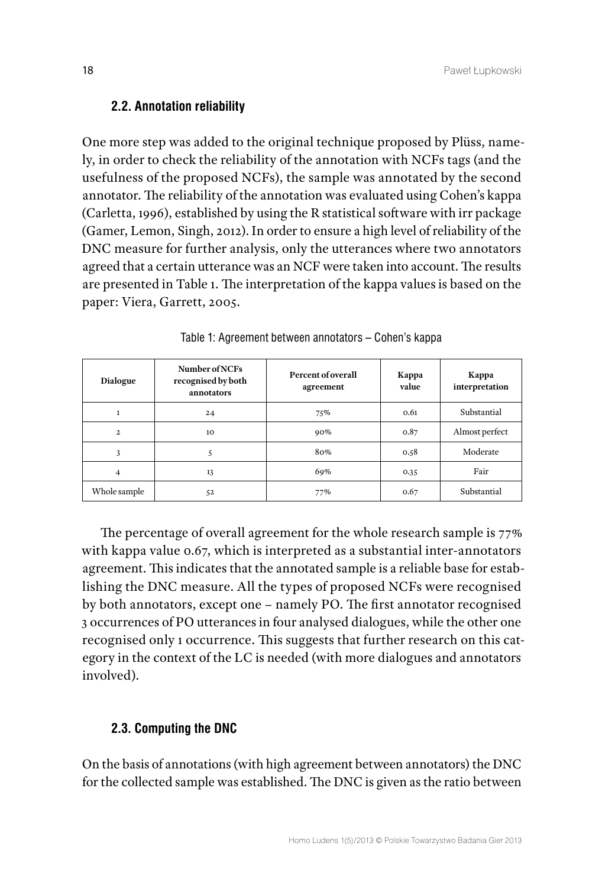#### **2.2. Annotation reliability**

One more step was added to the original technique proposed by Plüss, namely, in order to check the reliability of the annotation with NCFs tags (and the usefulness of the proposed NCFs), the sample was annotated by the second annotator. The reliability of the annotation was evaluated using Cohen's kappa (Carletta, 1996), established by using the R statistical software with irr package (Gamer, Lemon, Singh, 2012). In order to ensure a high level of reliability of the DNC measure for further analysis, only the utterances where two annotators agreed that a certain utterance was an NCF were taken into account. The results are presented in Table 1. The interpretation of the kappa values is based on the paper: Viera, Garrett, 2005.

| <b>Dialogue</b> | Number of NCFs<br>recognised by both<br>annotators | Percent of overall<br>agreement | Kappa<br>value | Kappa<br>interpretation |  |
|-----------------|----------------------------------------------------|---------------------------------|----------------|-------------------------|--|
| 1               | 24                                                 | 75%                             | 0.61           | Substantial             |  |
| $\mathbf{2}$    | 10                                                 | 90%                             | 0.87           | Almost perfect          |  |
| 3               |                                                    | 80%                             | 0.58           | Moderate                |  |
| 4               | 13                                                 | 69%                             | 0.35           | Fair                    |  |
| Whole sample    | 52                                                 | 77%                             | 0.67           | Substantial             |  |

Table 1: Agreement between annotators – Cohen's kappa

The percentage of overall agreement for the whole research sample is 77% with kappa value 0.67, which is interpreted as a substantial inter-annotators agreement. This indicates that the annotated sample is a reliable base for establishing the DNC measure. All the types of proposed NCFs were recognised by both annotators, except one – namely PO. The first annotator recognised 3 occurrences of PO utterances in four analysed dialogues, while the other one recognised only 1 occurrence. This suggests that further research on this category in the context of the LC is needed (with more dialogues and annotators involved).

#### **2.3. Computing the DNC**

On the basis of annotations (with high agreement between annotators) the DNC for the collected sample was established. The DNC is given as the ratio between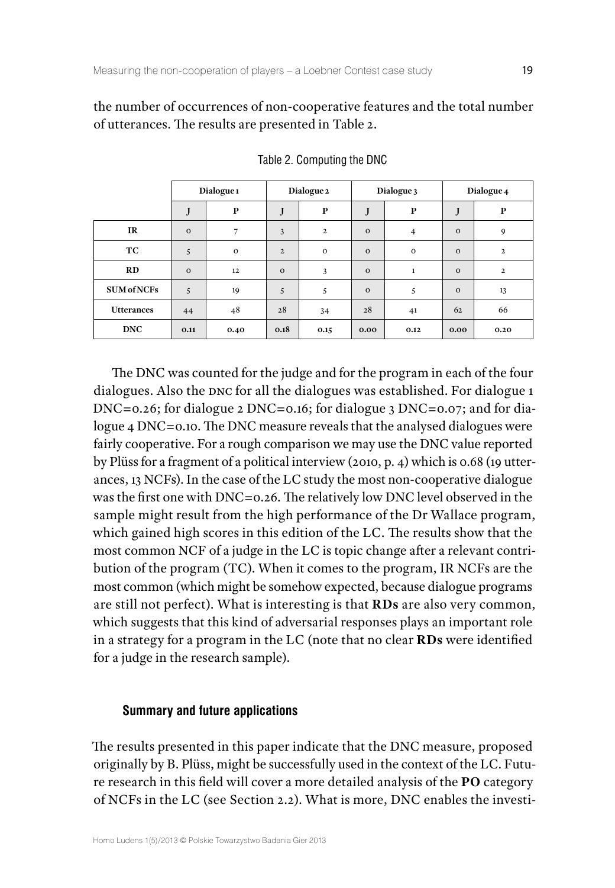the number of occurrences of non-cooperative features and the total number of utterances. The results are presented in Table 2.

|                    | Dialogue <sub>1</sub> |              | Dialogue 2   |                | Dialogue 3 |                | Dialogue 4   |              |
|--------------------|-----------------------|--------------|--------------|----------------|------------|----------------|--------------|--------------|
|                    | J                     | $\mathbf{P}$ | J            | $\bf P$        | J          | ${\bf P}$      | J            | ${\bf P}$    |
| IR                 | $\Omega$              | 7            | 3            | $\overline{2}$ | $\Omega$   | $\overline{4}$ | $\Omega$     | 9            |
| TC                 | 5                     | $\mathbf 0$  | $\mathbf{2}$ | $\mathbf{o}$   | $\Omega$   | $\mathbf{O}$   | $\Omega$     | $\mathbf{2}$ |
| RD                 | $\Omega$              | 12           | $\mathbf 0$  | 3              | $\Omega$   | $\mathbf{1}$   | $\mathbf{o}$ | $\mathbf{2}$ |
| <b>SUM of NCFs</b> | 5                     | 19           | 5            | 5              | $\Omega$   | 5              | $\Omega$     | 13           |
| <b>Utterances</b>  | 44                    | 48           | 28           | 34             | 28         | 41             | 62           | 66           |
| <b>DNC</b>         | 0.11                  | 0.40         | 0.18         | 0.15           | 0.00       | 0.12           | 0.00         | 0.20         |

Table 2. Computing the DNC

The DNC was counted for the judge and for the program in each of the four dialogues. Also the DNC for all the dialogues was established. For dialogue 1 DNC=0.26; for dialogue 2 DNC=0.16; for dialogue 3 DNC=0.07; and for dialogue 4 DNC=0.10. The DNC measure reveals that the analysed dialogues were fairly cooperative. For a rough comparison we may use the DNC value reported by Plüss for a fragment of a political interview (2010, p. 4) which is 0.68 (19 utterances, 13 NCFs). In the case of the LC study the most non-cooperative dialogue was the first one with DNC=0.26. The relatively low DNC level observed in the sample might result from the high performance of the Dr Wallace program, which gained high scores in this edition of the LC. The results show that the most common NCF of a judge in the LC is topic change after a relevant contribution of the program (TC). When it comes to the program, IR NCFs are the most common (which might be somehow expected, because dialogue programs are still not perfect). What is interesting is that **RDs** are also very common, which suggests that this kind of adversarial responses plays an important role in a strategy for a program in the LC (note that no clear **RDs** were identified for a judge in the research sample).

#### **Summary and future applications**

The results presented in this paper indicate that the DNC measure, proposed originally by B. Plüss, might be successfully used in the context of the LC. Future research in this field will cover a more detailed analysis of the **PO** category of NCFs in the LC (see Section 2.2). What is more, DNC enables the investi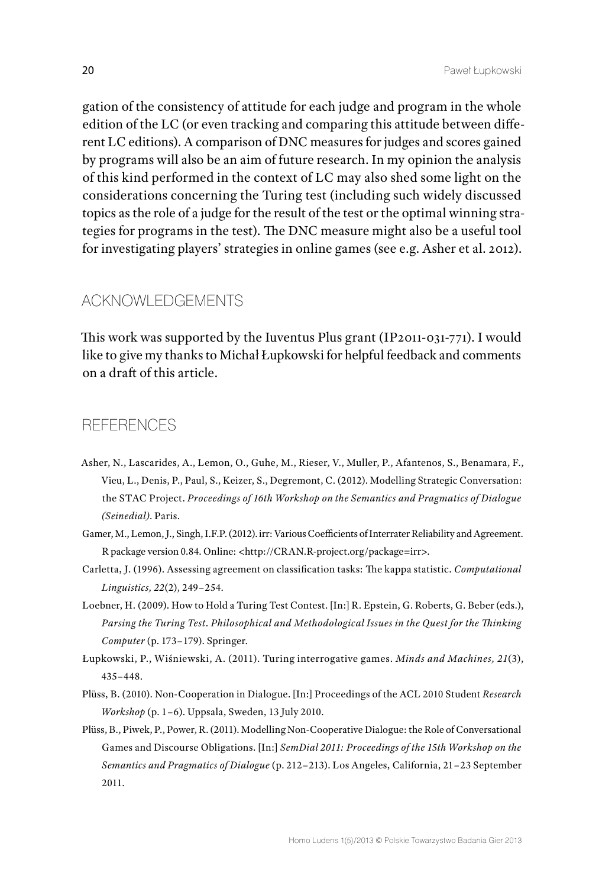gation of the consistency of attitude for each judge and program in the whole edition of the LC (or even tracking and comparing this attitude between different LC editions). A comparison of DNC measures for judges and scores gained by programs will also be an aim of future research. In my opinion the analysis of this kind performed in the context of LC may also shed some light on the considerations concerning the Turing test (including such widely discussed topics as the role of a judge for the result of the test or the optimal winning strategies for programs in the test). The DNC measure might also be a useful tool for investigating players' strategies in online games (see e.g. Asher et al. 2012).

# ACKNOWLEDGEMENTS

This work was supported by the Iuventus Plus grant (IP2011-031-771). I would like to give my thanks to Michał Łupkowski for helpful feedback and comments on a draft of this article.

# **REFERENCES**

- Asher, N., Lascarides, A., Lemon, O., Guhe, M., Rieser, V., Muller, P., Afantenos, S., Benamara, F., Vieu, L., Denis, P., Paul, S., Keizer, S., Degremont, C. (2012). Modelling Strategic Conversation: the STAC Project. *Proceedings of 16th Workshop on the Semantics and Pragmatics of Dialogue (Seinedial)*. Paris.
- Gamer, M., Lemon, J., Singh, I.F.P. (2012). irr: Various Coefficients of Interrater Reliability and Agreement. R package version 0.84. Online: [<http://CRAN.R-project.org/package=irr](http://CRAN.R-project.org/package=irr)>.
- Carletta, J. (1996). Assessing agreement on classification tasks: The kappa statistic. *Computational Linguistics, 22*(2), 249–254.
- Loebner, H. (2009). How to Hold a Turing Test Contest. [In:] R. Epstein, G. Roberts, G. Beber (eds.), *Parsing the Turing Test*. *Philosophical and Methodological Issues in the Quest for the Thinking Computer* (p. 173–179). Springer.
- Łupkowski, P., Wiśniewski, A. (2011). Turing interrogative games. *Minds and Machines, 21*(3), 435–448.
- Plüss, B. (2010). Non-Cooperation in Dialogue. [In:] Proceedings of the ACL 2010 Student *Research Workshop* (p. 1–6). Uppsala, Sweden, 13 July 2010.
- Plüss, B., Piwek, P., Power, R. (2011). Modelling Non-Cooperative Dialogue: the Role of Conversational Games and Discourse Obligations. [In:] *SemDial 2011: Proceedings of the 15th Workshop on the Semantics and Pragmatics of Dialogue* (p. 212–213). Los Angeles, California, 21–23 September 2011.